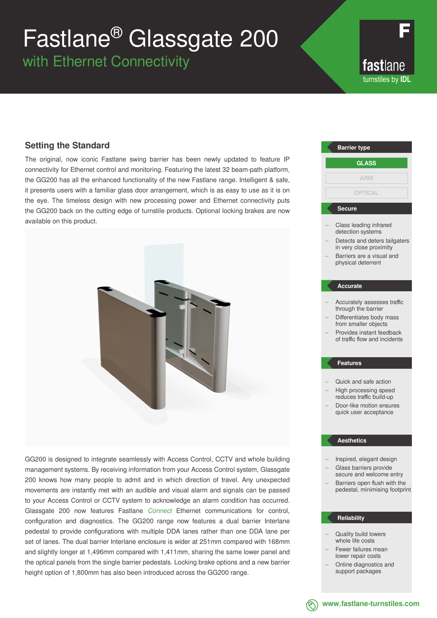# Fastlane® Glassgate 200

with Ethernet Connectivity

fastlane turnstiles by **IDL**

### **Setting the Standard**

The original, now iconic Fastlane swing barrier has been newly updated to feature IP connectivity for Ethernet control and monitoring. Featuring the latest 32 beam-path platform, the GG200 has all the enhanced functionality of the new Fastlane range. Intelligent & safe, it presents users with a familiar glass door arrangement, which is as easy to use as it is on the eye. The timeless design with new processing power and Ethernet connectivity puts the GG200 back on the cutting edge of turnstile products. Optional locking brakes are now available on this product.



GG200 is designed to integrate seamlessly with Access Control, CCTV and whole building management systems. By receiving information from your Access Control system, Glassgate 200 knows how many people to admit and in which direction of travel. Any unexpected movements are instantly met with an audible and visual alarm and signals can be passed to your Access Control or CCTV system to acknowledge an alarm condition has occurred. Glassgate 200 now features Fastlane *Connect* Ethernet communications for control, configuration and diagnostics. The GG200 range now features a dual barrier Interlane pedestal to provide configurations with multiple DDA lanes rather than one DDA lane per set of lanes. The dual barrier Interlane enclosure is wider at 251mm compared with 168mm and slightly longer at 1,496mm compared with 1,411mm, sharing the same lower panel and the optical panels from the single barrier pedestals. Locking brake options and a new barrier height option of 1,800mm has also been introduced across the GG200 range.

### Class leading infrared detection systems Detects and deters tailgaters in very close proximity – Barriers are a visual and physical deterrent – Accurately assesses traffic through the barrier – Differentiates body mass from smaller objects – Provides instant feedback of traffic flow and incidents – Quick and safe action – High processing speed reduces traffic build-up **Barrier type Secure Accurate Features GLASS ARM OPTICAL**

– Door-like motion ensures quick user acceptance

#### **Aesthetics**

- Inspired, elegant design – Glass barriers provide
- secure and welcome entry Barriers open flush with the pedestal, minimising footprint

#### **Reliability**

- Quality build lowers whole life costs
- Fewer failures mean lower repair costs
- Online diagnostics and support packages